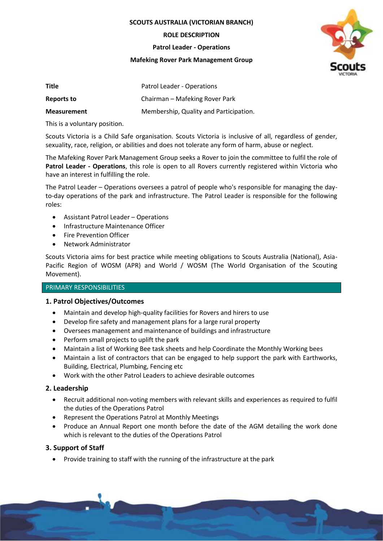**SCOUTS AUSTRALIA (VICTORIAN BRANCH)**

**ROLE DESCRIPTION**

**Patrol Leader - Operations**

#### **Mafeking Rover Park Management Group**



| Title              | Patrol Leader - Operations             |
|--------------------|----------------------------------------|
| Reports to         | Chairman - Mafeking Rover Park         |
| <b>Measurement</b> | Membership, Quality and Participation. |

This is a voluntary position.

Scouts Victoria is a Child Safe organisation. Scouts Victoria is inclusive of all, regardless of gender, sexuality, race, religion, or abilities and does not tolerate any form of harm, abuse or neglect.

The Mafeking Rover Park Management Group seeks a Rover to join the committee to fulfil the role of **Patrol Leader - Operations**, this role is open to all Rovers currently registered within Victoria who have an interest in fulfilling the role.

The Patrol Leader – Operations oversees a patrol of people who's responsible for managing the dayto-day operations of the park and infrastructure. The Patrol Leader is responsible for the following roles:

- Assistant Patrol Leader Operations
- Infrastructure Maintenance Officer
- Fire Prevention Officer
- Network Administrator

Scouts Victoria aims for best practice while meeting obligations to Scouts Australia (National), Asia-Pacific Region of WOSM (APR) and World / WOSM (The World Organisation of the Scouting Movement).

### PRIMARY RESPONSIBILITIES

# **1. Patrol Objectives/Outcomes**

- Maintain and develop high-quality facilities for Rovers and hirers to use
- Develop fire safety and management plans for a large rural property
- Oversees management and maintenance of buildings and infrastructure
- Perform small projects to uplift the park
- Maintain a list of Working Bee task sheets and help Coordinate the Monthly Working bees
- Maintain a list of contractors that can be engaged to help support the park with Earthworks, Building, Electrical, Plumbing, Fencing etc
- Work with the other Patrol Leaders to achieve desirable outcomes

# **2. Leadership**

- Recruit additional non-voting members with relevant skills and experiences as required to fulfil the duties of the Operations Patrol
- Represent the Operations Patrol at Monthly Meetings
- Produce an Annual Report one month before the date of the AGM detailing the work done which is relevant to the duties of the Operations Patrol

# **3. Support of Staff**

• Provide training to staff with the running of the infrastructure at the park